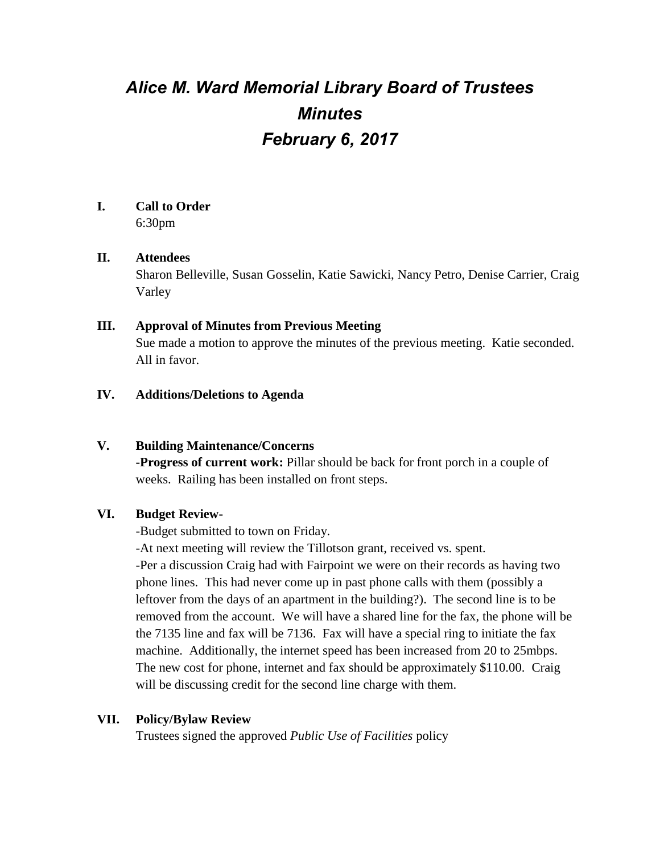# *Alice M. Ward Memorial Library Board of Trustees Minutes February 6, 2017*

#### **I. Call to Order**

6:30pm

# **II. Attendees**

Sharon Belleville, Susan Gosselin, Katie Sawicki, Nancy Petro, Denise Carrier, Craig Varley

# **III. Approval of Minutes from Previous Meeting**

Sue made a motion to approve the minutes of the previous meeting. Katie seconded. All in favor.

# **IV. Additions/Deletions to Agenda**

# **V. Building Maintenance/Concerns**

**-Progress of current work:** Pillar should be back for front porch in a couple of weeks. Railing has been installed on front steps.

# **VI. Budget Review-**

-Budget submitted to town on Friday.

-At next meeting will review the Tillotson grant, received vs. spent. -Per a discussion Craig had with Fairpoint we were on their records as having two phone lines. This had never come up in past phone calls with them (possibly a leftover from the days of an apartment in the building?). The second line is to be removed from the account. We will have a shared line for the fax, the phone will be the 7135 line and fax will be 7136. Fax will have a special ring to initiate the fax machine. Additionally, the internet speed has been increased from 20 to 25mbps. The new cost for phone, internet and fax should be approximately \$110.00. Craig will be discussing credit for the second line charge with them.

# **VII. Policy/Bylaw Review**

Trustees signed the approved *Public Use of Facilities* policy